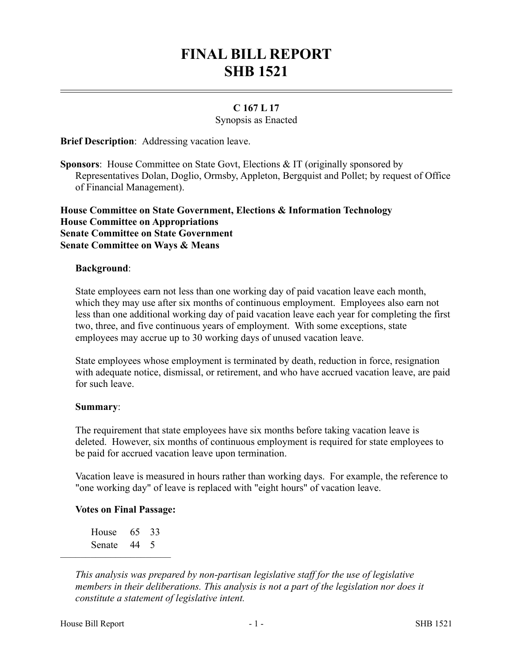# **FINAL BILL REPORT SHB 1521**

## **C 167 L 17**

Synopsis as Enacted

**Brief Description**: Addressing vacation leave.

**Sponsors**: House Committee on State Govt, Elections & IT (originally sponsored by Representatives Dolan, Doglio, Ormsby, Appleton, Bergquist and Pollet; by request of Office of Financial Management).

### **House Committee on State Government, Elections & Information Technology House Committee on Appropriations Senate Committee on State Government Senate Committee on Ways & Means**

#### **Background**:

State employees earn not less than one working day of paid vacation leave each month, which they may use after six months of continuous employment. Employees also earn not less than one additional working day of paid vacation leave each year for completing the first two, three, and five continuous years of employment. With some exceptions, state employees may accrue up to 30 working days of unused vacation leave.

State employees whose employment is terminated by death, reduction in force, resignation with adequate notice, dismissal, or retirement, and who have accrued vacation leave, are paid for such leave.

#### **Summary**:

The requirement that state employees have six months before taking vacation leave is deleted. However, six months of continuous employment is required for state employees to be paid for accrued vacation leave upon termination.

Vacation leave is measured in hours rather than working days. For example, the reference to "one working day" of leave is replaced with "eight hours" of vacation leave.

#### **Votes on Final Passage:**

House 65 33 Senate 44 5

––––––––––––––––––––––

*This analysis was prepared by non-partisan legislative staff for the use of legislative members in their deliberations. This analysis is not a part of the legislation nor does it constitute a statement of legislative intent.*